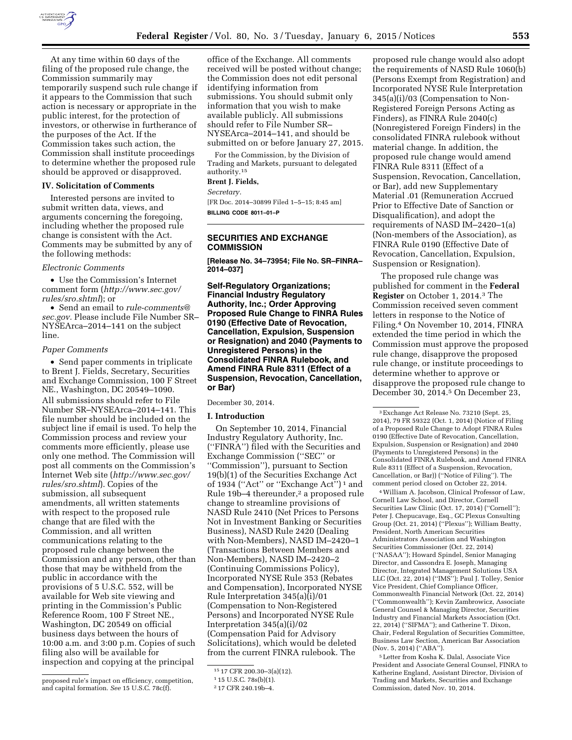

At any time within 60 days of the filing of the proposed rule change, the Commission summarily may temporarily suspend such rule change if it appears to the Commission that such action is necessary or appropriate in the public interest, for the protection of investors, or otherwise in furtherance of the purposes of the Act. If the Commission takes such action, the Commission shall institute proceedings to determine whether the proposed rule should be approved or disapproved.

## **IV. Solicitation of Comments**

Interested persons are invited to submit written data, views, and arguments concerning the foregoing, including whether the proposed rule change is consistent with the Act. Comments may be submitted by any of the following methods:

#### *Electronic Comments*

• Use the Commission's Internet comment form (*[http://www.sec.gov/](http://www.sec.gov/rules/sro.shtml) [rules/sro.shtml](http://www.sec.gov/rules/sro.shtml)*); or

• Send an email to *[rule-comments@](mailto:rule-comments@sec.gov) [sec.gov.](mailto:rule-comments@sec.gov)* Please include File Number SR– NYSEArca–2014–141 on the subject line.

#### *Paper Comments*

• Send paper comments in triplicate to Brent J. Fields, Secretary, Securities and Exchange Commission, 100 F Street NE., Washington, DC 20549–1090. All submissions should refer to File Number SR–NYSEArca–2014–141. This file number should be included on the subject line if email is used. To help the Commission process and review your comments more efficiently, please use only one method. The Commission will post all comments on the Commission's Internet Web site (*[http://www.sec.gov/](http://www.sec.gov/rules/sro.shtml) [rules/sro.shtml](http://www.sec.gov/rules/sro.shtml)*). Copies of the submission, all subsequent amendments, all written statements with respect to the proposed rule change that are filed with the Commission, and all written communications relating to the proposed rule change between the Commission and any person, other than those that may be withheld from the public in accordance with the provisions of 5 U.S.C. 552, will be available for Web site viewing and printing in the Commission's Public Reference Room, 100 F Street NE., Washington, DC 20549 on official business days between the hours of 10:00 a.m. and 3:00 p.m. Copies of such filing also will be available for inspection and copying at the principal

proposed rule's impact on efficiency, competition, and capital formation. *See* 15 U.S.C. 78c(f).

office of the Exchange. All comments received will be posted without change; the Commission does not edit personal identifying information from submissions. You should submit only information that you wish to make available publicly. All submissions should refer to File Number SR– NYSEArca–2014–141, and should be submitted on or before January 27, 2015.

For the Commission, by the Division of Trading and Markets, pursuant to delegated authority.15

#### **Brent J. Fields,**

*Secretary.* 

[FR Doc. 2014–30899 Filed 1–5–15; 8:45 am] **BILLING CODE 8011–01–P** 

# **SECURITIES AND EXCHANGE COMMISSION**

**[Release No. 34–73954; File No. SR–FINRA– 2014–037]** 

**Self-Regulatory Organizations; Financial Industry Regulatory Authority, Inc.; Order Approving Proposed Rule Change to FINRA Rules 0190 (Effective Date of Revocation, Cancellation, Expulsion, Suspension or Resignation) and 2040 (Payments to Unregistered Persons) in the Consolidated FINRA Rulebook, and Amend FINRA Rule 8311 (Effect of a Suspension, Revocation, Cancellation, or Bar)** 

#### December 30, 2014.

#### **I. Introduction**

On September 10, 2014, Financial Industry Regulatory Authority, Inc. (''FINRA'') filed with the Securities and Exchange Commission (''SEC'' or ''Commission''), pursuant to Section 19(b)(1) of the Securities Exchange Act of 1934 ("Act" or "Exchange Act")<sup>1</sup> and Rule 19b-4 thereunder,<sup>2</sup> a proposed rule change to streamline provisions of NASD Rule 2410 (Net Prices to Persons Not in Investment Banking or Securities Business), NASD Rule 2420 (Dealing with Non-Members), NASD IM–2420–1 (Transactions Between Members and Non-Members), NASD IM–2420–2 (Continuing Commissions Policy), Incorporated NYSE Rule 353 (Rebates and Compensation), Incorporated NYSE Rule Interpretation 345(a)(i)/01 (Compensation to Non-Registered Persons) and Incorporated NYSE Rule Interpretation 345(a)(i)/02 (Compensation Paid for Advisory Solicitations), which would be deleted from the current FINRA rulebook. The

proposed rule change would also adopt the requirements of NASD Rule 1060(b) (Persons Exempt from Registration) and Incorporated NYSE Rule Interpretation 345(a)(i)/03 (Compensation to Non-Registered Foreign Persons Acting as Finders), as FINRA Rule 2040(c) (Nonregistered Foreign Finders) in the consolidated FINRA rulebook without material change. In addition, the proposed rule change would amend FINRA Rule 8311 (Effect of a Suspension, Revocation, Cancellation, or Bar), add new Supplementary Material .01 (Remuneration Accrued Prior to Effective Date of Sanction or Disqualification), and adopt the requirements of NASD IM–2420–1(a) (Non-members of the Association), as FINRA Rule 0190 (Effective Date of Revocation, Cancellation, Expulsion, Suspension or Resignation).

The proposed rule change was published for comment in the **Federal Register** on October 1, 2014.3 The Commission received seven comment letters in response to the Notice of Filing.4 On November 10, 2014, FINRA extended the time period in which the Commission must approve the proposed rule change, disapprove the proposed rule change, or institute proceedings to determine whether to approve or disapprove the proposed rule change to December 30, 2014.5 On December 23,

4William A. Jacobson, Clinical Professor of Law, Cornell Law School, and Director, Cornell Securities Law Clinic (Oct. 17, 2014) (''Cornell''); Peter J. Chepucavage, Esq., GC Plexus Consulting Group (Oct. 21, 2014) (''Plexus''); William Beatty, President, North American Securities Administrators Association and Washington Securities Commissioner (Oct. 22, 2014) (''NASAA''); Howard Spindel, Senior Managing Director, and Cassondra E. Joseph, Managing Director, Integrated Management Solutions USA LLC (Oct. 22, 2014) (''IMS''); Paul J. Tolley, Senior Vice President, Chief Compliance Officer, Commonwealth Financial Network (Oct. 22, 2014) (''Commonwealth''); Kevin Zambrowicz, Associate General Counsel & Managing Director, Securities Industry and Financial Markets Association (Oct. 22, 2014) (''SIFMA''); and Catherine T. Dixon, Chair, Federal Regulation of Securities Committee, Business Law Section, American Bar Association (Nov. 5, 2014) (''ABA'').

5Letter from Kosha K. Dalal, Associate Vice President and Associate General Counsel, FINRA to Katherine England, Assistant Director, Division of Trading and Markets, Securities and Exchange Commission, dated Nov. 10, 2014.

<sup>15</sup> 17 CFR 200.30–3(a)(12).

<sup>1</sup> 15 U.S.C. 78s(b)(1).

<sup>2</sup> 17 CFR 240.19b–4.

<sup>3</sup>Exchange Act Release No. 73210 (Sept. 25, 2014), 79 FR 59322 (Oct. 1, 2014) (Notice of Filing of a Proposed Rule Change to Adopt FINRA Rules 0190 (Effective Date of Revocation, Cancellation, Expulsion, Suspension or Resignation) and 2040 (Payments to Unregistered Persons) in the Consolidated FINRA Rulebook, and Amend FINRA Rule 8311 (Effect of a Suspension, Revocation, Cancellation, or Bar)) (''Notice of Filing''). The comment period closed on October 22, 2014.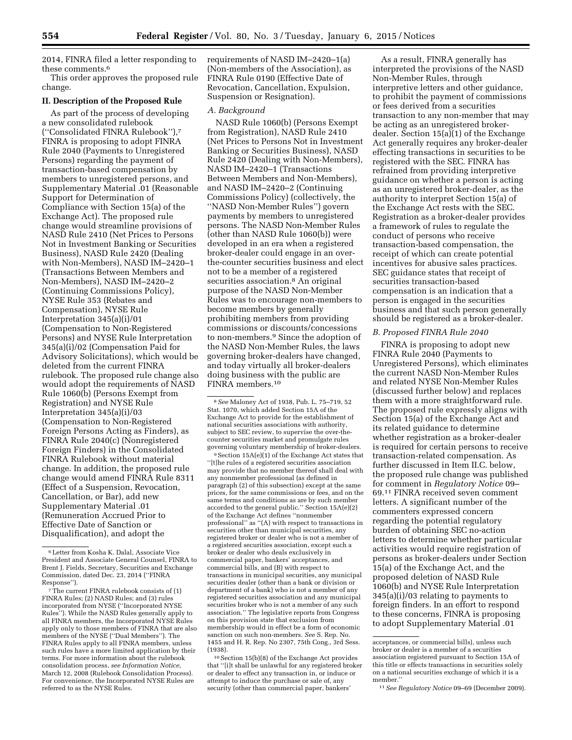2014, FINRA filed a letter responding to these comments.6

This order approves the proposed rule change.

## **II. Description of the Proposed Rule**

As part of the process of developing a new consolidated rulebook (''Consolidated FINRA Rulebook''),7 FINRA is proposing to adopt FINRA Rule 2040 (Payments to Unregistered Persons) regarding the payment of transaction-based compensation by members to unregistered persons, and Supplementary Material .01 (Reasonable Support for Determination of Compliance with Section 15(a) of the Exchange Act). The proposed rule change would streamline provisions of NASD Rule 2410 (Net Prices to Persons Not in Investment Banking or Securities Business), NASD Rule 2420 (Dealing with Non-Members), NASD IM–2420–1 (Transactions Between Members and Non-Members), NASD IM–2420–2 (Continuing Commissions Policy), NYSE Rule 353 (Rebates and Compensation), NYSE Rule Interpretation 345(a)(i)/01 (Compensation to Non-Registered Persons) and NYSE Rule Interpretation 345(a)(i)/02 (Compensation Paid for Advisory Solicitations), which would be deleted from the current FINRA rulebook. The proposed rule change also would adopt the requirements of NASD Rule 1060(b) (Persons Exempt from Registration) and NYSE Rule Interpretation 345(a)(i)/03 (Compensation to Non-Registered Foreign Persons Acting as Finders), as FINRA Rule 2040(c) (Nonregistered Foreign Finders) in the Consolidated FINRA Rulebook without material change. In addition, the proposed rule change would amend FINRA Rule 8311 (Effect of a Suspension, Revocation, Cancellation, or Bar), add new Supplementary Material .01 (Remuneration Accrued Prior to Effective Date of Sanction or Disqualification), and adopt the

requirements of NASD IM–2420–1(a) (Non-members of the Association), as FINRA Rule 0190 (Effective Date of Revocation, Cancellation, Expulsion, Suspension or Resignation).

#### *A. Background*

NASD Rule 1060(b) (Persons Exempt from Registration), NASD Rule 2410 (Net Prices to Persons Not in Investment Banking or Securities Business), NASD Rule 2420 (Dealing with Non-Members), NASD IM–2420–1 (Transactions Between Members and Non-Members), and NASD IM–2420–2 (Continuing Commissions Policy) (collectively, the ''NASD Non-Member Rules'') govern payments by members to unregistered persons. The NASD Non-Member Rules (other than NASD Rule 1060(b)) were developed in an era when a registered broker-dealer could engage in an overthe-counter securities business and elect not to be a member of a registered securities association.<sup>8</sup> An original purpose of the NASD Non-Member Rules was to encourage non-members to become members by generally prohibiting members from providing commissions or discounts/concessions to non-members.9 Since the adoption of the NASD Non-Member Rules, the laws governing broker-dealers have changed, and today virtually all broker-dealers doing business with the public are FINRA members.10

9Section 15A(e)(1) of the Exchange Act states that ''[t]he rules of a registered securities association may provide that no member thereof shall deal with any nonmember professional (as defined in paragraph (2) of this subsection) except at the same prices, for the same commissions or fees, and on the same terms and conditions as are by such member accorded to the general public.'' Section 15A(e)(2) of the Exchange Act defines ''nonmember professional'' as ''(A) with respect to transactions in securities other than municipal securities, any registered broker or dealer who is not a member of a registered securities association, except such a broker or dealer who deals exclusively in commercial paper, bankers' acceptances, and commercial bills, and (B) with respect to transactions in municipal securities, any municipal securities dealer (other than a bank or division or department of a bank) who is not a member of any registered securities association and any municipal securities broker who is not a member of any such association.'' The legislative reports from Congress on this provision state that exclusion from membership would in effect be a form of economic sanction on such non-members. *See* S. Rep. No. 1455 and H. R. Rep. No 2307, 75th Cong., 3rd Sess. (1938).

10Section 15(b)(8) of the Exchange Act provides that ''[i]t shall be unlawful for any registered broker or dealer to effect any transaction in, or induce or attempt to induce the purchase or sale of, any security (other than commercial paper, bankers'

As a result, FINRA generally has interpreted the provisions of the NASD Non-Member Rules, through interpretive letters and other guidance, to prohibit the payment of commissions or fees derived from a securities transaction to any non-member that may be acting as an unregistered brokerdealer. Section 15(a)(1) of the Exchange Act generally requires any broker-dealer effecting transactions in securities to be registered with the SEC. FINRA has refrained from providing interpretive guidance on whether a person is acting as an unregistered broker-dealer, as the authority to interpret Section 15(a) of the Exchange Act rests with the SEC. Registration as a broker-dealer provides a framework of rules to regulate the conduct of persons who receive transaction-based compensation, the receipt of which can create potential incentives for abusive sales practices. SEC guidance states that receipt of securities transaction-based compensation is an indication that a person is engaged in the securities business and that such person generally should be registered as a broker-dealer.

#### *B. Proposed FINRA Rule 2040*

FINRA is proposing to adopt new FINRA Rule 2040 (Payments to Unregistered Persons), which eliminates the current NASD Non-Member Rules and related NYSE Non-Member Rules (discussed further below) and replaces them with a more straightforward rule. The proposed rule expressly aligns with Section 15(a) of the Exchange Act and its related guidance to determine whether registration as a broker-dealer is required for certain persons to receive transaction-related compensation. As further discussed in Item II.C. below, the proposed rule change was published for comment in *Regulatory Notice* 09– 69.11 FINRA received seven comment letters. A significant number of the commenters expressed concern regarding the potential regulatory burden of obtaining SEC no-action letters to determine whether particular activities would require registration of persons as broker-dealers under Section 15(a) of the Exchange Act, and the proposed deletion of NASD Rule 1060(b) and NYSE Rule Interpretation 345(a)(i)/03 relating to payments to foreign finders. In an effort to respond to these concerns, FINRA is proposing to adopt Supplementary Material .01

<sup>6</sup>Letter from Kosha K. Dalal, Associate Vice President and Associate General Counsel, FINRA to Brent J. Fields, Secretary, Securities and Exchange Commission, dated Dec. 23, 2014 (''FINRA Response'').

<sup>7</sup>The current FINRA rulebook consists of (1) FINRA Rules; (2) NASD Rules; and (3) rules incorporated from NYSE (''Incorporated NYSE Rules''). While the NASD Rules generally apply to all FINRA members, the Incorporated NYSE Rules apply only to those members of FINRA that are also members of the NYSE (''Dual Members''). The FINRA Rules apply to all FINRA members, unless such rules have a more limited application by their terms. For more information about the rulebook consolidation process, *see Information Notice,*  March 12, 2008 (Rulebook Consolidation Process). For convenience, the Incorporated NYSE Rules are referred to as the NYSE Rules.

<sup>8</sup>*See* Maloney Act of 1938, Pub. L. 75–719, 52 Stat. 1070, which added Section 15A of the Exchange Act to provide for the establishment of national securities associations with authority, subject to SEC review, to supervise the over-thecounter securities market and promulgate rules governing voluntary membership of broker-dealers.

acceptances, or commercial bills), unless such broker or dealer is a member of a securities association registered pursuant to Section 15A of this title or effects transactions in securities solely on a national securities exchange of which it is a member.

<sup>11</sup>*See Regulatory Notice* 09–69 (December 2009).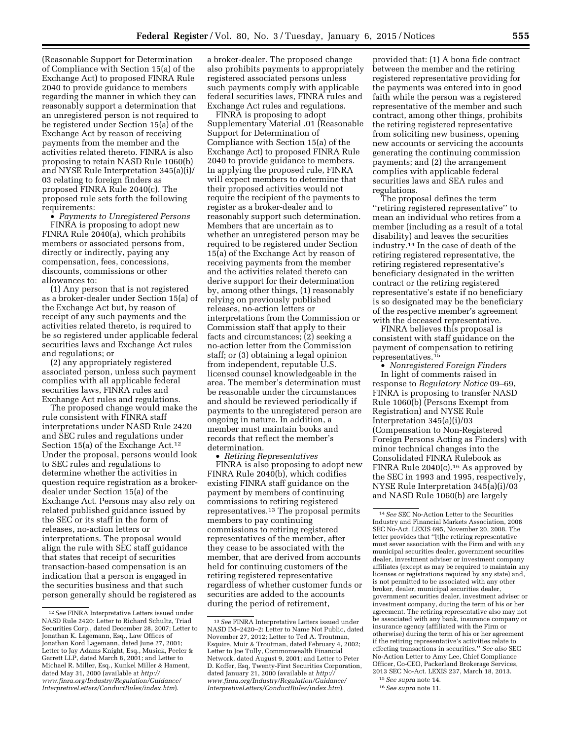(Reasonable Support for Determination of Compliance with Section 15(a) of the Exchange Act) to proposed FINRA Rule 2040 to provide guidance to members regarding the manner in which they can reasonably support a determination that an unregistered person is not required to be registered under Section 15(a) of the Exchange Act by reason of receiving payments from the member and the activities related thereto. FINRA is also proposing to retain NASD Rule 1060(b) and NYSE Rule Interpretation 345(a)(i)/ 03 relating to foreign finders as proposed FINRA Rule 2040(c). The proposed rule sets forth the following requirements:

• *Payments to Unregistered Persons*  FINRA is proposing to adopt new FINRA Rule 2040(a), which prohibits members or associated persons from, directly or indirectly, paying any compensation, fees, concessions, discounts, commissions or other allowances to:

(1) Any person that is not registered as a broker-dealer under Section 15(a) of the Exchange Act but, by reason of receipt of any such payments and the activities related thereto, is required to be so registered under applicable federal securities laws and Exchange Act rules and regulations; or

(2) any appropriately registered associated person, unless such payment complies with all applicable federal securities laws, FINRA rules and Exchange Act rules and regulations.

The proposed change would make the rule consistent with FINRA staff interpretations under NASD Rule 2420 and SEC rules and regulations under Section 15(a) of the Exchange Act.<sup>12</sup> Under the proposal, persons would look to SEC rules and regulations to determine whether the activities in question require registration as a brokerdealer under Section 15(a) of the Exchange Act. Persons may also rely on related published guidance issued by the SEC or its staff in the form of releases, no-action letters or interpretations. The proposal would align the rule with SEC staff guidance that states that receipt of securities transaction-based compensation is an indication that a person is engaged in the securities business and that such person generally should be registered as

a broker-dealer. The proposed change also prohibits payments to appropriately registered associated persons unless such payments comply with applicable federal securities laws, FINRA rules and Exchange Act rules and regulations.

FINRA is proposing to adopt Supplementary Material .01 (Reasonable Support for Determination of Compliance with Section 15(a) of the Exchange Act) to proposed FINRA Rule 2040 to provide guidance to members. In applying the proposed rule, FINRA will expect members to determine that their proposed activities would not require the recipient of the payments to register as a broker-dealer and to reasonably support such determination. Members that are uncertain as to whether an unregistered person may be required to be registered under Section 15(a) of the Exchange Act by reason of receiving payments from the member and the activities related thereto can derive support for their determination by, among other things, (1) reasonably relying on previously published releases, no-action letters or interpretations from the Commission or Commission staff that apply to their facts and circumstances; (2) seeking a no-action letter from the Commission staff; or (3) obtaining a legal opinion from independent, reputable U.S. licensed counsel knowledgeable in the area. The member's determination must be reasonable under the circumstances and should be reviewed periodically if payments to the unregistered person are ongoing in nature. In addition, a member must maintain books and records that reflect the member's determination.

• *Retiring Representatives*  FINRA is also proposing to adopt new FINRA Rule 2040(b), which codifies existing FINRA staff guidance on the payment by members of continuing commissions to retiring registered representatives.13 The proposal permits members to pay continuing commissions to retiring registered representatives of the member, after they cease to be associated with the member, that are derived from accounts held for continuing customers of the retiring registered representative regardless of whether customer funds or securities are added to the accounts during the period of retirement,

provided that: (1) A bona fide contract between the member and the retiring registered representative providing for the payments was entered into in good faith while the person was a registered representative of the member and such contract, among other things, prohibits the retiring registered representative from soliciting new business, opening new accounts or servicing the accounts generating the continuing commission payments; and (2) the arrangement complies with applicable federal securities laws and SEA rules and regulations.

The proposal defines the term ''retiring registered representative'' to mean an individual who retires from a member (including as a result of a total disability) and leaves the securities industry.14 In the case of death of the retiring registered representative, the retiring registered representative's beneficiary designated in the written contract or the retiring registered representative's estate if no beneficiary is so designated may be the beneficiary of the respective member's agreement with the deceased representative.

FINRA believes this proposal is consistent with staff guidance on the payment of compensation to retiring representatives.15

• *Nonregistered Foreign Finders*  In light of comments raised in response to *Regulatory Notice* 09–69, FINRA is proposing to transfer NASD Rule 1060(b) (Persons Exempt from Registration) and NYSE Rule Interpretation 345(a)(i)/03 (Compensation to Non-Registered Foreign Persons Acting as Finders) with minor technical changes into the Consolidated FINRA Rulebook as FINRA Rule  $2040(c)$ .<sup>16</sup> As approved by the SEC in 1993 and 1995, respectively, NYSE Rule Interpretation 345(a)(i)/03 and NASD Rule 1060(b) are largely

<sup>12</sup>*See* FINRA Interpretative Letters issued under NASD Rule 2420: Letter to Richard Schultz, Triad Securities Corp., dated December 28, 2007; Letter to Jonathan K. Lagemann, Esq., Law Offices of Jonathan Kord Lagemann, dated June 27, 2001; Letter to Jay Adams Knight, Esq., Musick, Peeler & Garrett LLP, dated March 8, 2001; and Letter to Michael R. Miller, Esq., Kunkel Miller & Hament, dated May 31, 2000 (available at *[http://](http://www.finra.org/Industry/Regulation/Guidance/InterpretiveLetters/ConductRules/index.htm) [www.finra.org/Industry/Regulation/Guidance/](http://www.finra.org/Industry/Regulation/Guidance/InterpretiveLetters/ConductRules/index.htm)  [InterpretiveLetters/ConductRules/index.htm](http://www.finra.org/Industry/Regulation/Guidance/InterpretiveLetters/ConductRules/index.htm)*).

<sup>13</sup>*See* FINRA Interpretative Letters issued under NASD IM–2420–2: Letter to Name Not Public, dated November 27, 2012; Letter to Ted A. Troutman, Esquire, Muir & Troutman, dated February 4, 2002; Letter to Joe Tully, Commonwealth Financial Network, dated August 9, 2001; and Letter to Peter D. Koffer, Esq, Twenty-First Securities Corporation, dated January 21, 2000 (available at *[http://](http://www.finra.org/Industry/Regulation/Guidance/InterpretiveLetters/ConductRules/index.htm)  [www.finra.org/Industry/Regulation/Guidance/](http://www.finra.org/Industry/Regulation/Guidance/InterpretiveLetters/ConductRules/index.htm)  [InterpretiveLetters/ConductRules/index.htm](http://www.finra.org/Industry/Regulation/Guidance/InterpretiveLetters/ConductRules/index.htm)*).

<sup>14</sup>*See* SEC No-Action Letter to the Securities Industry and Financial Markets Association, 2008 SEC No-Act. LEXIS 695, November 20, 2008. The letter provides that ''[t]he retiring representative must sever association with the Firm and with any municipal securities dealer, government securities dealer, investment adviser or investment company affiliates (except as may be required to maintain any licenses or registrations required by any state) and, is not permitted to be associated with any other broker, dealer, municipal securities dealer, government securities dealer, investment adviser or investment company, during the term of his or her agreement. The retiring representative also may not be associated with any bank, insurance company or insurance agency (affiliated with the Firm or otherwise) during the term of his or her agreement if the retiring representative's activities relate to effecting transactions in securities.'' *See also* SEC No-Action Letter to Amy Lee, Chief Compliance Officer, Co-CEO, Packerland Brokerage Services, 2013 SEC No-Act. LEXIS 237, March 18, 2013.

<sup>15</sup>*See supra* note 14.

<sup>16</sup>*See supra* note 11.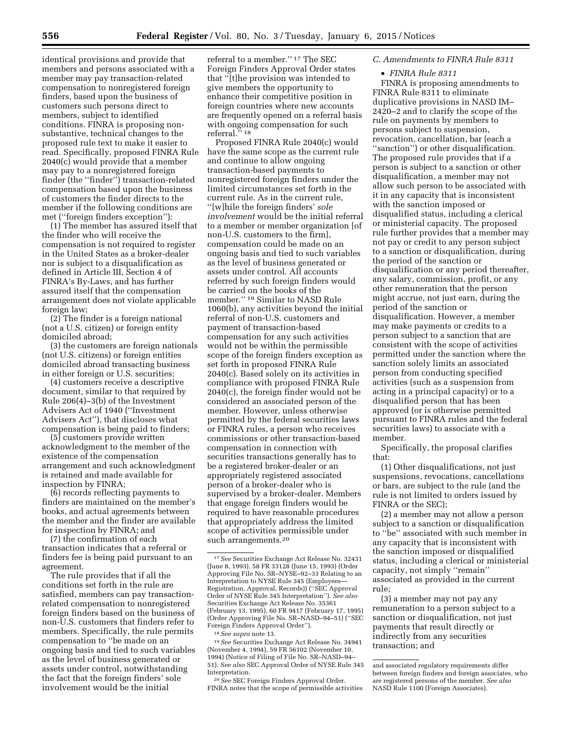identical provisions and provide that members and persons associated with a member may pay transaction-related compensation to nonregistered foreign finders, based upon the business of customers such persons direct to members, subject to identified conditions. FINRA is proposing nonsubstantive, technical changes to the proposed rule text to make it easier to read. Specifically, proposed FINRA Rule 2040(c) would provide that a member may pay to a nonregistered foreign finder (the ''finder'') transaction-related compensation based upon the business of customers the finder directs to the member if the following conditions are met (''foreign finders exception''):

(1) The member has assured itself that the finder who will receive the compensation is not required to register in the United States as a broker-dealer nor is subject to a disqualification as defined in Article III, Section 4 of FINRA's By-Laws, and has further assured itself that the compensation arrangement does not violate applicable foreign law;

(2) The finder is a foreign national (not a U.S. citizen) or foreign entity domiciled abroad;

(3) the customers are foreign nationals (not U.S. citizens) or foreign entities domiciled abroad transacting business in either foreign or U.S. securities;

(4) customers receive a descriptive document, similar to that required by Rule 206(4)–3(b) of the Investment Advisers Act of 1940 (''Investment Advisers Act''), that discloses what compensation is being paid to finders;

(5) customers provide written acknowledgment to the member of the existence of the compensation arrangement and such acknowledgment is retained and made available for inspection by FINRA;

(6) records reflecting payments to finders are maintained on the member's books, and actual agreements between the member and the finder are available for inspection by FINRA; and

(7) the confirmation of each transaction indicates that a referral or finders fee is being paid pursuant to an agreement.

The rule provides that if all the conditions set forth in the rule are satisfied, members can pay transactionrelated compensation to nonregistered foreign finders based on the business of non-U.S. customers that finders refer to members. Specifically, the rule permits compensation to ''be made on an ongoing basis and tied to such variables as the level of business generated or assets under control, notwithstanding the fact that the foreign finders' sole involvement would be the initial

referral to a member.'' 17 The SEC Foreign Finders Approval Order states that ''[t]he provision was intended to give members the opportunity to enhance their competitive position in foreign countries where new accounts are frequently opened on a referral basis with ongoing compensation for such referral.'' 18

Proposed FINRA Rule 2040(c) would have the same scope as the current rule and continue to allow ongoing transaction-based payments to nonregistered foreign finders under the limited circumstances set forth in the current rule. As in the current rule, ''[w]hile the foreign finders' *sole involvement* would be the initial referral to a member or member organization [of non-U.S. customers to the firm], compensation could be made on an ongoing basis and tied to such variables as the level of business generated or assets under control. All accounts referred by such foreign finders would be carried on the books of the member.'' 19 Similar to NASD Rule 1060(b), any activities beyond the initial referral of non-U.S. customers and payment of transaction-based compensation for any such activities would not be within the permissible scope of the foreign finders exception as set forth in proposed FINRA Rule 2040(c). Based solely on its activities in compliance with proposed FINRA Rule 2040(c), the foreign finder would not be considered an associated person of the member. However, unless otherwise permitted by the federal securities laws or FINRA rules, a person who receives commissions or other transaction-based compensation in connection with securities transactions generally has to be a registered broker-dealer or an appropriately registered associated person of a broker-dealer who is supervised by a broker-dealer. Members that engage foreign finders would be required to have reasonable procedures that appropriately address the limited scope of activities permissible under such arrangements.<sup>20</sup>

19*See* Securities Exchange Act Release No. 34941 (November 4, 1994), 59 FR 56102 (November 10, 1994) (Notice of Filing of File No. SR–NASD–94– 51). *See also* SEC Approval Order of NYSE Rule 345 Interpretation.

20*See* SEC Foreign Finders Approval Order. FINRA notes that the scope of permissible activities

# *C. Amendments to FINRA Rule 8311*

#### • *FINRA Rule 8311*

FINRA is proposing amendments to FINRA Rule 8311 to eliminate duplicative provisions in NASD IM– 2420–2 and to clarify the scope of the rule on payments by members to persons subject to suspension, revocation, cancellation, bar (each a ''sanction'') or other disqualification. The proposed rule provides that if a person is subject to a sanction or other disqualification, a member may not allow such person to be associated with it in any capacity that is inconsistent with the sanction imposed or disqualified status, including a clerical or ministerial capacity. The proposed rule further provides that a member may not pay or credit to any person subject to a sanction or disqualification, during the period of the sanction or disqualification or any period thereafter, any salary, commission, profit, or any other remuneration that the person might accrue, not just earn, during the period of the sanction or disqualification. However, a member may make payments or credits to a person subject to a sanction that are consistent with the scope of activities permitted under the sanction where the sanction solely limits an associated person from conducting specified activities (such as a suspension from acting in a principal capacity) or to a disqualified person that has been approved (or is otherwise permitted pursuant to FINRA rules and the federal securities laws) to associate with a member.

Specifically, the proposal clarifies that:

(1) Other disqualifications, not just suspensions, revocations, cancellations or bars, are subject to the rule (and the rule is not limited to orders issued by FINRA or the SEC);

(2) a member may not allow a person subject to a sanction or disqualification to ''be'' associated with such member in any capacity that is inconsistent with the sanction imposed or disqualified status, including a clerical or ministerial capacity, not simply ''remain'' associated as provided in the current rule;

(3) a member may not pay any remuneration to a person subject to a sanction or disqualification, not just payments that result directly or indirectly from any securities transaction; and

<sup>17</sup>*See* Securities Exchange Act Release No. 32431 (June 8, 1993), 58 FR 33128 (June 15, 1993) (Order Approving File No. SR–NYSE–92–33 Relating to an Interpretation to NYSE Rule 345 (Employees— Registration, Approval, Records)) (''SEC Approval Order of NYSE Rule 345 Interpretation''). *See also*  Securities Exchange Act Release No. 35361 (February 13, 1995), 60 FR 9417 (February 17, 1995) (Order Approving File No. SR–NASD–94–51) (''SEC Foreign Finders Approval Order'').

<sup>18</sup>*See supra* note 13.

and associated regulatory requirements differ between foreign finders and foreign associates, who are registered persons of the member. *See also*  NASD Rule 1100 (Foreign Associates).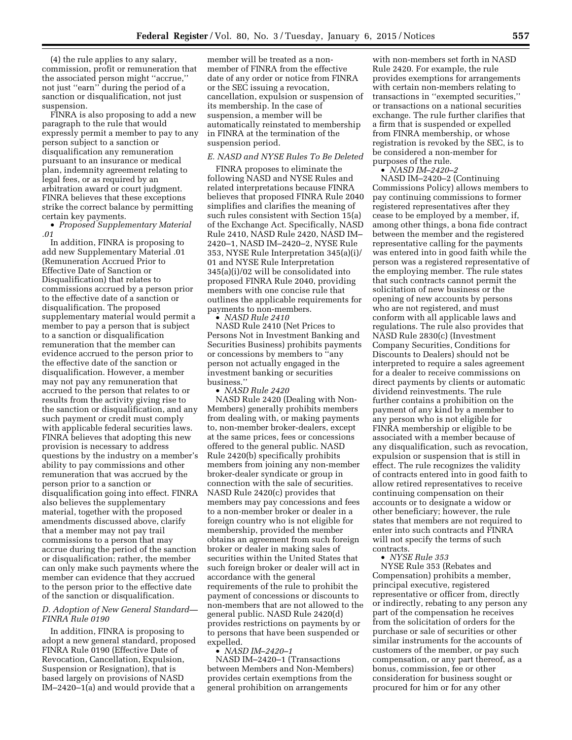(4) the rule applies to any salary, commission, profit or remuneration that the associated person might ''accrue,'' not just ''earn'' during the period of a sanction or disqualification, not just suspension.

FINRA is also proposing to add a new paragraph to the rule that would expressly permit a member to pay to any person subject to a sanction or disqualification any remuneration pursuant to an insurance or medical plan, indemnity agreement relating to legal fees, or as required by an arbitration award or court judgment. FINRA believes that these exceptions strike the correct balance by permitting certain key payments.

• *Proposed Supplementary Material .01* 

In addition, FINRA is proposing to add new Supplementary Material .01 (Remuneration Accrued Prior to Effective Date of Sanction or Disqualification) that relates to commissions accrued by a person prior to the effective date of a sanction or disqualification. The proposed supplementary material would permit a member to pay a person that is subject to a sanction or disqualification remuneration that the member can evidence accrued to the person prior to the effective date of the sanction or disqualification. However, a member may not pay any remuneration that accrued to the person that relates to or results from the activity giving rise to the sanction or disqualification, and any such payment or credit must comply with applicable federal securities laws. FINRA believes that adopting this new provision is necessary to address questions by the industry on a member's ability to pay commissions and other remuneration that was accrued by the person prior to a sanction or disqualification going into effect. FINRA also believes the supplementary material, together with the proposed amendments discussed above, clarify that a member may not pay trail commissions to a person that may accrue during the period of the sanction or disqualification; rather, the member can only make such payments where the member can evidence that they accrued to the person prior to the effective date of the sanction or disqualification.

# *D. Adoption of New General Standard— FINRA Rule 0190*

In addition, FINRA is proposing to adopt a new general standard, proposed FINRA Rule 0190 (Effective Date of Revocation, Cancellation, Expulsion, Suspension or Resignation), that is based largely on provisions of NASD IM–2420–1(a) and would provide that a

member will be treated as a nonmember of FINRA from the effective date of any order or notice from FINRA or the SEC issuing a revocation, cancellation, expulsion or suspension of its membership. In the case of suspension, a member will be automatically reinstated to membership in FINRA at the termination of the suspension period.

#### *E. NASD and NYSE Rules To Be Deleted*

FINRA proposes to eliminate the following NASD and NYSE Rules and related interpretations because FINRA believes that proposed FINRA Rule 2040 simplifies and clarifies the meaning of such rules consistent with Section 15(a) of the Exchange Act. Specifically, NASD Rule 2410, NASD Rule 2420, NASD IM– 2420–1, NASD IM–2420–2, NYSE Rule 353, NYSE Rule Interpretation 345(a)(i)/ 01 and NYSE Rule Interpretation 345(a)(i)/02 will be consolidated into proposed FINRA Rule 2040, providing members with one concise rule that outlines the applicable requirements for payments to non-members. • *NASD Rule 2410* 

NASD Rule 2410 (Net Prices to Persons Not in Investment Banking and Securities Business) prohibits payments or concessions by members to ''any person not actually engaged in the investment banking or securities business.''

• *NASD Rule 2420* 

NASD Rule 2420 (Dealing with Non-Members) generally prohibits members from dealing with, or making payments to, non-member broker-dealers, except at the same prices, fees or concessions offered to the general public. NASD Rule 2420(b) specifically prohibits members from joining any non-member broker-dealer syndicate or group in connection with the sale of securities. NASD Rule 2420(c) provides that members may pay concessions and fees to a non-member broker or dealer in a foreign country who is not eligible for membership, provided the member obtains an agreement from such foreign broker or dealer in making sales of securities within the United States that such foreign broker or dealer will act in accordance with the general requirements of the rule to prohibit the payment of concessions or discounts to non-members that are not allowed to the general public. NASD Rule 2420(d) provides restrictions on payments by or to persons that have been suspended or expelled.

• *NASD IM–2420–1* 

NASD IM–2420–1 (Transactions between Members and Non-Members) provides certain exemptions from the general prohibition on arrangements

with non-members set forth in NASD Rule 2420. For example, the rule provides exemptions for arrangements with certain non-members relating to transactions in ''exempted securities,'' or transactions on a national securities exchange. The rule further clarifies that a firm that is suspended or expelled from FINRA membership, or whose registration is revoked by the SEC, is to be considered a non-member for purposes of the rule.

• *NASD IM–2420–2* 

NASD IM–2420–2 (Continuing Commissions Policy) allows members to pay continuing commissions to former registered representatives after they cease to be employed by a member, if, among other things, a bona fide contract between the member and the registered representative calling for the payments was entered into in good faith while the person was a registered representative of the employing member. The rule states that such contracts cannot permit the solicitation of new business or the opening of new accounts by persons who are not registered, and must conform with all applicable laws and regulations. The rule also provides that NASD Rule 2830(c) (Investment Company Securities, Conditions for Discounts to Dealers) should not be interpreted to require a sales agreement for a dealer to receive commissions on direct payments by clients or automatic dividend reinvestments. The rule further contains a prohibition on the payment of any kind by a member to any person who is not eligible for FINRA membership or eligible to be associated with a member because of any disqualification, such as revocation, expulsion or suspension that is still in effect. The rule recognizes the validity of contracts entered into in good faith to allow retired representatives to receive continuing compensation on their accounts or to designate a widow or other beneficiary; however, the rule states that members are not required to enter into such contracts and FINRA will not specify the terms of such contracts.

• *NYSE Rule 353* 

NYSE Rule 353 (Rebates and Compensation) prohibits a member, principal executive, registered representative or officer from, directly or indirectly, rebating to any person any part of the compensation he receives from the solicitation of orders for the purchase or sale of securities or other similar instruments for the accounts of customers of the member, or pay such compensation, or any part thereof, as a bonus, commission, fee or other consideration for business sought or procured for him or for any other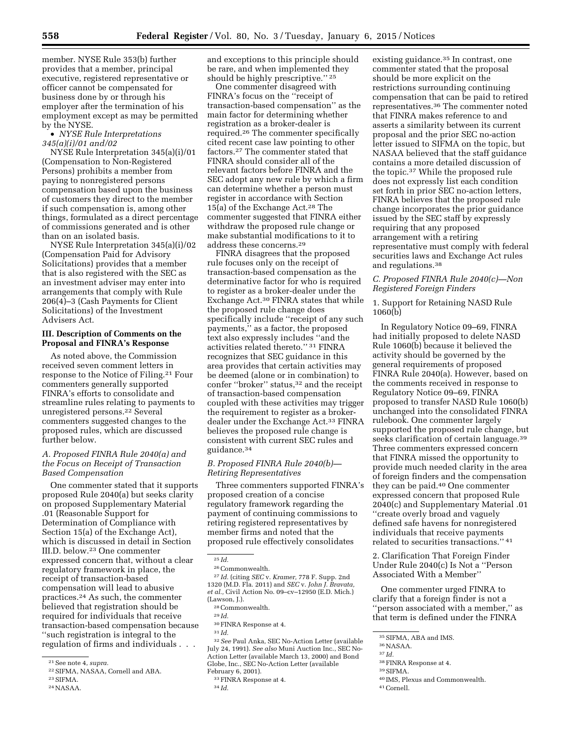member. NYSE Rule 353(b) further provides that a member, principal executive, registered representative or officer cannot be compensated for business done by or through his employer after the termination of his employment except as may be permitted by the NYSE.

• *NYSE Rule Interpretations 345(a)(i)/01 and/02* 

NYSE Rule Interpretation 345(a)(i)/01 (Compensation to Non-Registered Persons) prohibits a member from paying to nonregistered persons compensation based upon the business of customers they direct to the member if such compensation is, among other things, formulated as a direct percentage of commissions generated and is other than on an isolated basis.

NYSE Rule Interpretation 345(a)(i)/02 (Compensation Paid for Advisory Solicitations) provides that a member that is also registered with the SEC as an investment adviser may enter into arrangements that comply with Rule 206(4)–3 (Cash Payments for Client Solicitations) of the Investment Advisers Act.

### **III. Description of Comments on the Proposal and FINRA's Response**

As noted above, the Commission received seven comment letters in response to the Notice of Filing.21 Four commenters generally supported FINRA's efforts to consolidate and streamline rules relating to payments to unregistered persons.22 Several commenters suggested changes to the proposed rules, which are discussed further below.

# *A. Proposed FINRA Rule 2040(a) and the Focus on Receipt of Transaction Based Compensation*

One commenter stated that it supports proposed Rule 2040(a) but seeks clarity on proposed Supplementary Material .01 (Reasonable Support for Determination of Compliance with Section 15(a) of the Exchange Act), which is discussed in detail in Section III.D. below.23 One commenter expressed concern that, without a clear regulatory framework in place, the receipt of transaction-based compensation will lead to abusive practices.24 As such, the commenter believed that registration should be required for individuals that receive transaction-based compensation because ''such registration is integral to the regulation of firms and individuals . . .

24NASAA.

and exceptions to this principle should be rare, and when implemented they should be highly prescriptive.'' 25

One commenter disagreed with FINRA's focus on the ''receipt of transaction-based compensation'' as the main factor for determining whether registration as a broker-dealer is required.26 The commenter specifically cited recent case law pointing to other factors.27 The commenter stated that FINRA should consider all of the relevant factors before FINRA and the SEC adopt any new rule by which a firm can determine whether a person must register in accordance with Section 15(a) of the Exchange Act.28 The commenter suggested that FINRA either withdraw the proposed rule change or make substantial modifications to it to address these concerns.29

FINRA disagrees that the proposed rule focuses only on the receipt of transaction-based compensation as the determinative factor for who is required to register as a broker-dealer under the Exchange Act.30 FINRA states that while the proposed rule change does specifically include ''receipt of any such payments,'' as a factor, the proposed text also expressly includes ''and the activities related thereto.'' 31 FINRA recognizes that SEC guidance in this area provides that certain activities may be deemed (alone or in combination) to confer "broker" status,<sup>32</sup> and the receipt of transaction-based compensation coupled with these activities may trigger the requirement to register as a brokerdealer under the Exchange Act.<sup>33</sup> FINRA believes the proposed rule change is consistent with current SEC rules and guidance.34

### *B. Proposed FINRA Rule 2040(b)— Retiring Representatives*

Three commenters supported FINRA's proposed creation of a concise regulatory framework regarding the payment of continuing commissions to retiring registered representatives by member firms and noted that the proposed rule effectively consolidates

34 *Id.* 

existing guidance.<sup>35</sup> In contrast, one commenter stated that the proposal should be more explicit on the restrictions surrounding continuing compensation that can be paid to retired representatives.36 The commenter noted that FINRA makes reference to and asserts a similarity between its current proposal and the prior SEC no-action letter issued to SIFMA on the topic, but NASAA believed that the staff guidance contains a more detailed discussion of the topic.37 While the proposed rule does not expressly list each condition set forth in prior SEC no-action letters, FINRA believes that the proposed rule change incorporates the prior guidance issued by the SEC staff by expressly requiring that any proposed arrangement with a retiring representative must comply with federal securities laws and Exchange Act rules and regulations.38

## *C. Proposed FINRA Rule 2040(c)—Non Registered Foreign Finders*

## 1. Support for Retaining NASD Rule 1060(b)

In Regulatory Notice 09–69, FINRA had initially proposed to delete NASD Rule 1060(b) because it believed the activity should be governed by the general requirements of proposed FINRA Rule 2040(a). However, based on the comments received in response to Regulatory Notice 09–69, FINRA proposed to transfer NASD Rule 1060(b) unchanged into the consolidated FINRA rulebook. One commenter largely supported the proposed rule change, but seeks clarification of certain language.<sup>39</sup> Three commenters expressed concern that FINRA missed the opportunity to provide much needed clarity in the area of foreign finders and the compensation they can be paid.40 One commenter expressed concern that proposed Rule 2040(c) and Supplementary Material .01 ''create overly broad and vaguely defined safe havens for nonregistered individuals that receive payments related to securities transactions.'' 41

2. Clarification That Foreign Finder Under Rule 2040(c) Is Not a ''Person Associated With a Member''

One commenter urged FINRA to clarify that a foreign finder is not a ''person associated with a member,'' as that term is defined under the FINRA

37 *Id.* 

39SIFMA.

41Cornell.

<sup>21</sup>See note 4, *supra.* 

<sup>22</sup>SIFMA, NASAA, Cornell and ABA.

<sup>23</sup>SIFMA.

<sup>25</sup> *Id.* 

 $^{\rm 26}$  Commonwealth.

<sup>27</sup> *Id.* (citing *SEC* v. *Kramer,* 778 F. Supp. 2nd 1320 (M.D. Fla. 2011) and *SEC* v. *John J. Bravata, et al.,* Civil Action No. 09–cv–12950 (E.D. Mich.) (Lawson, J.).

<sup>28</sup>Commonwealth. 29 *Id.* 

 $^{\rm 30}\!$  FINRA Response at 4.

<sup>31</sup> *Id.* 

<sup>32</sup>*See* Paul Anka, SEC No-Action Letter (available July 24, 1991). *See also* Muni Auction Inc., SEC No-Action Letter (available March 13, 2000) and Bond Globe, Inc., SEC No-Action Letter (available February 6, 2001).

<sup>33</sup>FINRA Response at 4.

<sup>35</sup>SIFMA, ABA and IMS.

<sup>36</sup>NASAA.

<sup>38</sup>FINRA Response at 4.

<sup>40</sup> IMS, Plexus and Commonwealth.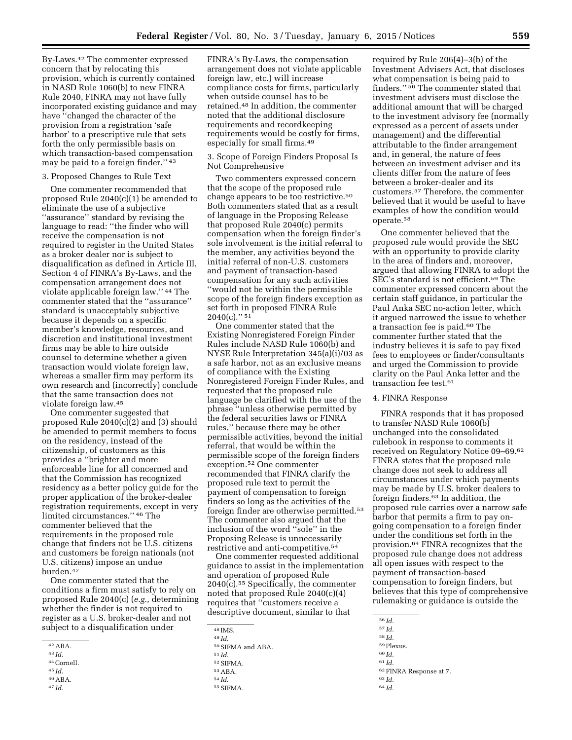By-Laws.42 The commenter expressed concern that by relocating this provision, which is currently contained in NASD Rule 1060(b) to new FINRA Rule 2040, FINRA may not have fully incorporated existing guidance and may have ''changed the character of the provision from a registration 'safe harbor' to a prescriptive rule that sets forth the only permissible basis on which transaction-based compensation may be paid to a foreign finder.'' 43

#### 3. Proposed Changes to Rule Text

One commenter recommended that proposed Rule 2040(c)(1) be amended to eliminate the use of a subjective ''assurance'' standard by revising the language to read: ''the finder who will receive the compensation is not required to register in the United States as a broker dealer nor is subject to disqualification as defined in Article III, Section 4 of FINRA's By-Laws, and the compensation arrangement does not violate applicable foreign law.'' 44 The commenter stated that the ''assurance'' standard is unacceptably subjective because it depends on a specific member's knowledge, resources, and discretion and institutional investment firms may be able to hire outside counsel to determine whether a given transaction would violate foreign law, whereas a smaller firm may perform its own research and (incorrectly) conclude that the same transaction does not violate foreign law.45

One commenter suggested that proposed Rule 2040(c)(2) and (3) should be amended to permit members to focus on the residency, instead of the citizenship, of customers as this provides a ''brighter and more enforceable line for all concerned and that the Commission has recognized residency as a better policy guide for the proper application of the broker-dealer registration requirements, except in very limited circumstances.'' 46 The commenter believed that the requirements in the proposed rule change that finders not be U.S. citizens and customers be foreign nationals (not U.S. citizens) impose an undue burden.47

One commenter stated that the conditions a firm must satisfy to rely on proposed Rule 2040(c) (*e.g.,* determining whether the finder is not required to register as a U.S. broker-dealer and not subject to a disqualification under

- 43 *Id.*
- 44Cornell. 45 *Id.*
- 46ABA.
- 47 *Id.*

FINRA's By-Laws, the compensation arrangement does not violate applicable foreign law, etc.) will increase compliance costs for firms, particularly when outside counsel has to be retained.48 In addition, the commenter noted that the additional disclosure requirements and recordkeeping requirements would be costly for firms, especially for small firms.49

3. Scope of Foreign Finders Proposal Is Not Comprehensive

Two commenters expressed concern that the scope of the proposed rule change appears to be too restrictive.50 Both commenters stated that as a result of language in the Proposing Release that proposed Rule 2040(c) permits compensation when the foreign finder's sole involvement is the initial referral to the member, any activities beyond the initial referral of non-U.S. customers and payment of transaction-based compensation for any such activities ''would not be within the permissible scope of the foreign finders exception as set forth in proposed FINRA Rule  $2040(c)$ ." 51

One commenter stated that the Existing Nonregistered Foreign Finder Rules include NASD Rule 1060(b) and NYSE Rule Interpretation 345(a)(i)/03 as a safe harbor, not as an exclusive means of compliance with the Existing Nonregistered Foreign Finder Rules, and requested that the proposed rule language be clarified with the use of the phrase ''unless otherwise permitted by the federal securities laws or FINRA rules,'' because there may be other permissible activities, beyond the initial referral, that would be within the permissible scope of the foreign finders exception.52 One commenter recommended that FINRA clarify the proposed rule text to permit the payment of compensation to foreign finders so long as the activities of the foreign finder are otherwise permitted.53 The commenter also argued that the inclusion of the word ''sole'' in the Proposing Release is unnecessarily restrictive and anti-competitive.54

One commenter requested additional guidance to assist in the implementation and operation of proposed Rule  $2040(c)$ .<sup>55</sup> Specifically, the commenter noted that proposed Rule 2040(c)(4) requires that ''customers receive a descriptive document, similar to that

<sup>48</sup> IMS. 49 *Id.* 

 $^{50}$  SIFMA and ABA.  $^{51}$   $Id$ 52SIFMA. 53ABA. 54 *Id.* 

required by Rule 206(4)–3(b) of the Investment Advisers Act, that discloses what compensation is being paid to finders.'' 56 The commenter stated that investment advisers must disclose the additional amount that will be charged to the investment advisory fee (normally expressed as a percent of assets under management) and the differential attributable to the finder arrangement and, in general, the nature of fees between an investment adviser and its clients differ from the nature of fees between a broker-dealer and its customers.57 Therefore, the commenter believed that it would be useful to have examples of how the condition would operate.58

One commenter believed that the proposed rule would provide the SEC with an opportunity to provide clarity in the area of finders and, moreover, argued that allowing FINRA to adopt the SEC's standard is not efficient.59 The commenter expressed concern about the certain staff guidance, in particular the Paul Anka SEC no-action letter, which it argued narrowed the issue to whether a transaction fee is paid.60 The commenter further stated that the industry believes it is safe to pay fixed fees to employees or finder/consultants and urged the Commission to provide clarity on the Paul Anka letter and the transaction fee test.61

#### 4. FINRA Response

FINRA responds that it has proposed to transfer NASD Rule 1060(b) unchanged into the consolidated rulebook in response to comments it received on Regulatory Notice 09–69.62 FINRA states that the proposed rule change does not seek to address all circumstances under which payments may be made by U.S. broker dealers to foreign finders.63 In addition, the proposed rule carries over a narrow safe harbor that permits a firm to pay ongoing compensation to a foreign finder under the conditions set forth in the provision.64 FINRA recognizes that the proposed rule change does not address all open issues with respect to the payment of transaction-based compensation to foreign finders, but believes that this type of comprehensive rulemaking or guidance is outside the

58 *Id.* 

61 *Id.* 

62FINRA Response at 7.

<sup>42</sup>ABA.

<sup>55</sup>SIFMA.

<sup>56</sup> *Id.* 

<sup>57</sup> *Id.* 

<sup>59</sup>Plexus. 60 *Id.* 

<sup>63</sup> *Id.*  64 *Id.*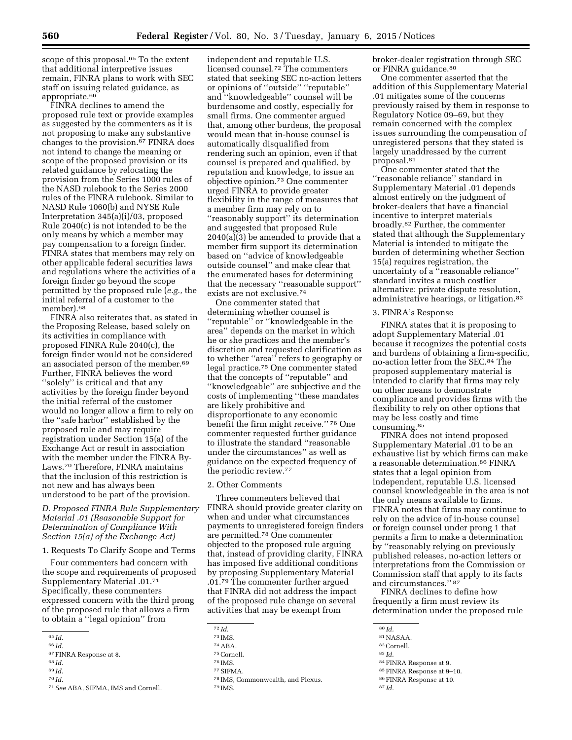scope of this proposal.<sup>65</sup> To the extent that additional interpretive issues remain, FINRA plans to work with SEC staff on issuing related guidance, as appropriate.<sup>66</sup>

FINRA declines to amend the proposed rule text or provide examples as suggested by the commenters as it is not proposing to make any substantive changes to the provision.67 FINRA does not intend to change the meaning or scope of the proposed provision or its related guidance by relocating the provision from the Series 1000 rules of the NASD rulebook to the Series 2000 rules of the FINRA rulebook. Similar to NASD Rule 1060(b) and NYSE Rule Interpretation 345(a)(i)/03, proposed Rule 2040(c) is not intended to be the only means by which a member may pay compensation to a foreign finder. FINRA states that members may rely on other applicable federal securities laws and regulations where the activities of a foreign finder go beyond the scope permitted by the proposed rule (*e.g.,* the initial referral of a customer to the member).68

FINRA also reiterates that, as stated in the Proposing Release, based solely on its activities in compliance with proposed FINRA Rule 2040(c), the foreign finder would not be considered an associated person of the member.69 Further, FINRA believes the word ''solely'' is critical and that any activities by the foreign finder beyond the initial referral of the customer would no longer allow a firm to rely on the ''safe harbor'' established by the proposed rule and may require registration under Section 15(a) of the Exchange Act or result in association with the member under the FINRA By-Laws.70 Therefore, FINRA maintains that the inclusion of this restriction is not new and has always been understood to be part of the provision.

# *D. Proposed FINRA Rule Supplementary Material .01 (Reasonable Support for Determination of Compliance With Section 15(a) of the Exchange Act)*

1. Requests To Clarify Scope and Terms

Four commenters had concern with the scope and requirements of proposed Supplementary Material .01.71 Specifically, these commenters expressed concern with the third prong of the proposed rule that allows a firm to obtain a ''legal opinion'' from

68 *Id.* 

70 *Id.* 

independent and reputable U.S. licensed counsel.72 The commenters stated that seeking SEC no-action letters or opinions of ''outside'' ''reputable'' and ''knowledgeable'' counsel will be burdensome and costly, especially for small firms. One commenter argued that, among other burdens, the proposal would mean that in-house counsel is automatically disqualified from rendering such an opinion, even if that counsel is prepared and qualified, by reputation and knowledge, to issue an objective opinion.73 One commenter urged FINRA to provide greater flexibility in the range of measures that a member firm may rely on to ''reasonably support'' its determination and suggested that proposed Rule 2040(a)(3) be amended to provide that a member firm support its determination based on ''advice of knowledgeable outside counsel'' and make clear that the enumerated bases for determining that the necessary ''reasonable support'' exists are not exclusive.74

One commenter stated that determining whether counsel is "reputable" or "knowledgeable in the area'' depends on the market in which he or she practices and the member's discretion and requested clarification as to whether ''area'' refers to geography or legal practice.75 One commenter stated that the concepts of ''reputable'' and ''knowledgeable'' are subjective and the costs of implementing ''these mandates are likely prohibitive and disproportionate to any economic benefit the firm might receive.'' 76 One commenter requested further guidance to illustrate the standard ''reasonable under the circumstances'' as well as guidance on the expected frequency of the periodic review.77

#### 2. Other Comments

Three commenters believed that FINRA should provide greater clarity on when and under what circumstances payments to unregistered foreign finders are permitted.78 One commenter objected to the proposed rule arguing that, instead of providing clarity, FINRA has imposed five additional conditions by proposing Supplementary Material .01.79 The commenter further argued that FINRA did not address the impact of the proposed rule change on several activities that may be exempt from

76 IMS.

broker-dealer registration through SEC or FINRA guidance.80

One commenter asserted that the addition of this Supplementary Material .01 mitigates some of the concerns previously raised by them in response to Regulatory Notice 09–69, but they remain concerned with the complex issues surrounding the compensation of unregistered persons that they stated is largely unaddressed by the current proposal.81

One commenter stated that the ''reasonable reliance'' standard in Supplementary Material .01 depends almost entirely on the judgment of broker-dealers that have a financial incentive to interpret materials broadly.82 Further, the commenter stated that although the Supplementary Material is intended to mitigate the burden of determining whether Section 15(a) requires registration, the uncertainty of a ''reasonable reliance'' standard invites a much costlier alternative: private dispute resolution, administrative hearings, or litigation.83

## 3. FINRA's Response

FINRA states that it is proposing to adopt Supplementary Material .01 because it recognizes the potential costs and burdens of obtaining a firm-specific, no-action letter from the SEC.84 The proposed supplementary material is intended to clarify that firms may rely on other means to demonstrate compliance and provides firms with the flexibility to rely on other options that may be less costly and time consuming.85

FINRA does not intend proposed Supplementary Material .01 to be an exhaustive list by which firms can make a reasonable determination.86 FINRA states that a legal opinion from independent, reputable U.S. licensed counsel knowledgeable in the area is not the only means available to firms. FINRA notes that firms may continue to rely on the advice of in-house counsel or foreign counsel under prong 1 that permits a firm to make a determination by ''reasonably relying on previously published releases, no-action letters or interpretations from the Commission or Commission staff that apply to its facts and circumstances.'' 87

FINRA declines to define how frequently a firm must review its determination under the proposed rule

84FINRA Response at 9. 85FINRA Response at 9–10.

<sup>65</sup> *Id.* 

<sup>66</sup> *Id.*  67FINRA Response at 8.

<sup>69</sup> *Id.* 

<sup>71</sup>*See* ABA, SIFMA, IMS and Cornell.

<sup>72</sup> *Id.* 

<sup>73</sup> IMS. 74ABA.

<sup>75</sup>Cornell.

<sup>77</sup>SIFMA.

<sup>78</sup> IMS, Commonwealth, and Plexus. 79 IMS.

<sup>80</sup> *Id.* 

<sup>81</sup>NASAA.

<sup>82</sup>Cornell. 83 *Id.* 

<sup>86</sup>FINRA Response at 10.

<sup>87</sup> *Id.*